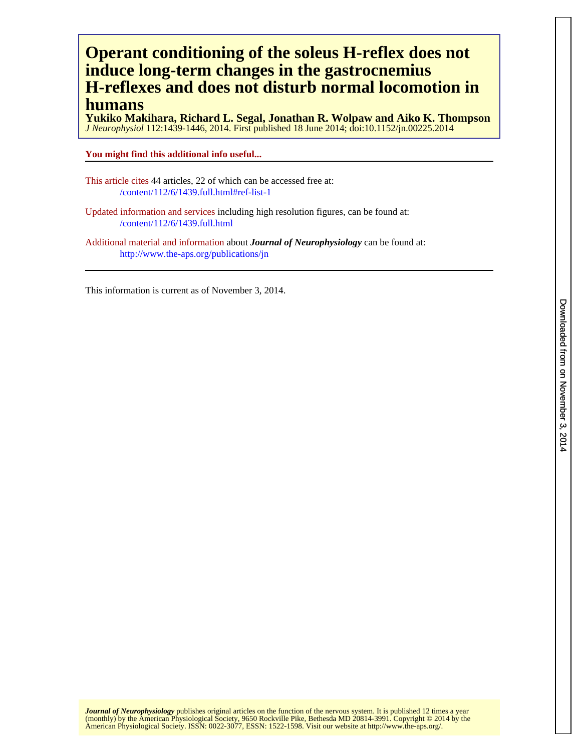# **humans H-reflexes and does not disturb normal locomotion in induce long-term changes in the gastrocnemius Operant conditioning of the soleus H-reflex does not**

*J Neurophysiol* 112:1439-1446, 2014. First published 18 June 2014; doi:10.1152/jn.00225.2014 **Yukiko Makihara, Richard L. Segal, Jonathan R. Wolpaw and Aiko K. Thompson**

**You might find this additional info useful...**

This article cites 44 articles, 22 of which can be accessed free at: /content/112/6/1439.full.html#ref-list-1

Updated information and services including high resolution figures, can be found at: /content/112/6/1439.full.html

Additional material and information about *Journal of Neurophysiology* can be found at: <http://www.the-aps.org/publications/jn>

This information is current as of November 3, 2014.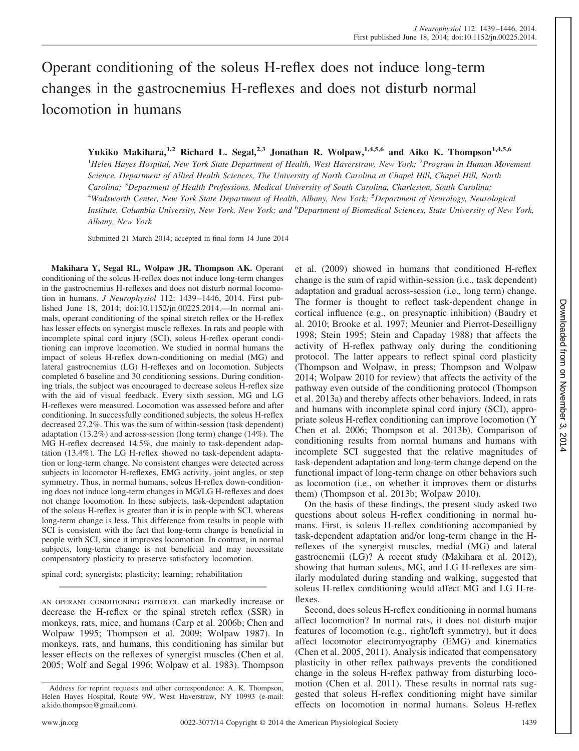# Operant conditioning of the soleus H-reflex does not induce long-term changes in the gastrocnemius H-reflexes and does not disturb normal locomotion in humans

**Yukiko Makihara,1,2 Richard L. Segal,2,3 Jonathan R. Wolpaw,1,4,5,6 and Aiko K. Thompson1,4,5,6**

<sup>1</sup>Helen Hayes Hospital, New York State Department of Health, West Haverstraw, New York; <sup>2</sup>Program in Human Movement *Science, Department of Allied Health Sciences, The University of North Carolina at Chapel Hill, Chapel Hill, North Carolina;* <sup>3</sup> *Department of Health Professions, Medical University of South Carolina, Charleston, South Carolina;* 4 *Wadsworth Center, New York State Department of Health, Albany, New York;* <sup>5</sup> *Department of Neurology, Neurological Institute, Columbia University, New York, New York; and* <sup>6</sup> *Department of Biomedical Sciences, State University of New York, Albany, New York*

Submitted 21 March 2014; accepted in final form 14 June 2014

**Makihara Y, Segal RL, Wolpaw JR, Thompson AK.** Operant conditioning of the soleus H-reflex does not induce long-term changes in the gastrocnemius H-reflexes and does not disturb normal locomotion in humans. *J Neurophysiol* 112: 1439 –1446, 2014. First published June 18, 2014; doi:10.1152/jn.00225.2014.—In normal animals, operant conditioning of the spinal stretch reflex or the H-reflex has lesser effects on synergist muscle reflexes. In rats and people with incomplete spinal cord injury (SCI), soleus H-reflex operant conditioning can improve locomotion. We studied in normal humans the impact of soleus H-reflex down-conditioning on medial (MG) and lateral gastrocnemius (LG) H-reflexes and on locomotion. Subjects completed 6 baseline and 30 conditioning sessions. During conditioning trials, the subject was encouraged to decrease soleus H-reflex size with the aid of visual feedback. Every sixth session, MG and LG H-reflexes were measured. Locomotion was assessed before and after conditioning. In successfully conditioned subjects, the soleus H-reflex decreased 27.2%. This was the sum of within-session (task dependent) adaptation (13.2%) and across-session (long term) change (14%). The MG H-reflex decreased 14.5%, due mainly to task-dependent adaptation (13.4%). The LG H-reflex showed no task-dependent adaptation or long-term change. No consistent changes were detected across subjects in locomotor H-reflexes, EMG activity, joint angles, or step symmetry. Thus, in normal humans, soleus H-reflex down-conditioning does not induce long-term changes in MG/LG H-reflexes and does not change locomotion. In these subjects, task-dependent adaptation of the soleus H-reflex is greater than it is in people with SCI, whereas long-term change is less. This difference from results in people with SCI is consistent with the fact that long-term change is beneficial in people with SCI, since it improves locomotion. In contrast, in normal subjects, long-term change is not beneficial and may necessitate compensatory plasticity to preserve satisfactory locomotion.

spinal cord; synergists; plasticity; learning; rehabilitation

AN OPERANT CONDITIONING PROTOCOL can markedly increase or decrease the H-reflex or the spinal stretch reflex (SSR) in monkeys, rats, mice, and humans (Carp et al. 2006b; Chen and Wolpaw 1995; Thompson et al. 2009; Wolpaw 1987). In monkeys, rats, and humans, this conditioning has similar but lesser effects on the reflexes of synergist muscles (Chen et al. 2005; Wolf and Segal 1996; Wolpaw et al. 1983). Thompson

et al. (2009) showed in humans that conditioned H-reflex change is the sum of rapid within-session (i.e., task dependent) adaptation and gradual across-session (i.e., long term) change. The former is thought to reflect task-dependent change in cortical influence (e.g., on presynaptic inhibition) (Baudry et al. 2010; Brooke et al. 1997; Meunier and Pierrot-Deseilligny 1998; Stein 1995; Stein and Capaday 1988) that affects the activity of H-reflex pathway only during the conditioning protocol. The latter appears to reflect spinal cord plasticity (Thompson and Wolpaw, in press; Thompson and Wolpaw 2014; Wolpaw 2010 for review) that affects the activity of the pathway even outside of the conditioning protocol (Thompson et al. 2013a) and thereby affects other behaviors. Indeed, in rats and humans with incomplete spinal cord injury (SCI), appropriate soleus H-reflex conditioning can improve locomotion (Y Chen et al. 2006; Thompson et al. 2013b). Comparison of conditioning results from normal humans and humans with incomplete SCI suggested that the relative magnitudes of task-dependent adaptation and long-term change depend on the functional impact of long-term change on other behaviors such as locomotion (i.e., on whether it improves them or disturbs them) (Thompson et al. 2013b; Wolpaw 2010).

On the basis of these findings, the present study asked two questions about soleus H-reflex conditioning in normal humans. First, is soleus H-reflex conditioning accompanied by task-dependent adaptation and/or long-term change in the Hreflexes of the synergist muscles, medial (MG) and lateral gastrocnemii (LG)? A recent study (Makihara et al. 2012), showing that human soleus, MG, and LG H-reflexes are similarly modulated during standing and walking, suggested that soleus H-reflex conditioning would affect MG and LG H-reflexes.

Second, does soleus H-reflex conditioning in normal humans affect locomotion? In normal rats, it does not disturb major features of locomotion (e.g., right/left symmetry), but it does affect locomotor electromyography (EMG) and kinematics (Chen et al. 2005, 2011). Analysis indicated that compensatory plasticity in other reflex pathways prevents the conditioned change in the soleus H-reflex pathway from disturbing locomotion (Chen et al. 2011). These results in normal rats suggested that soleus H-reflex conditioning might have similar effects on locomotion in normal humans. Soleus H-reflex

Address for reprint requests and other correspondence: A. K. Thompson, Helen Hayes Hospital, Route 9W, West Haverstraw, NY 10993 (e-mail: [a.kido.thompson@gmail.com\)](mailto:a.kido.thompson@gmail.com).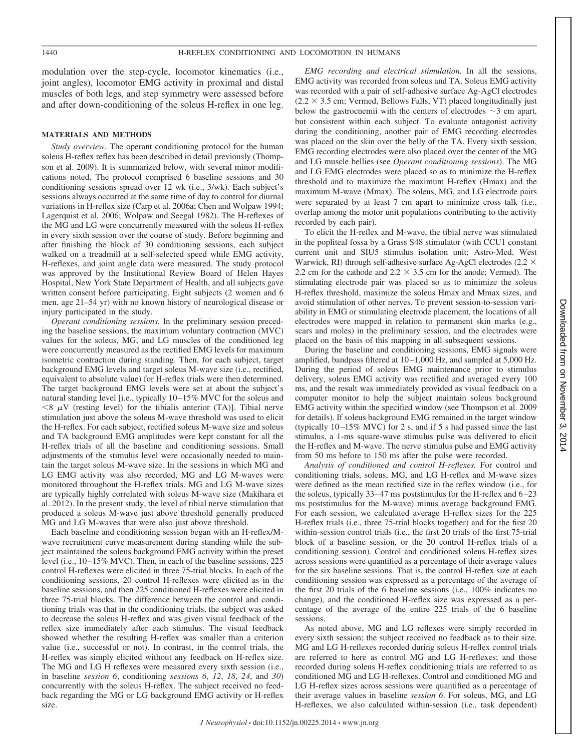modulation over the step-cycle, locomotor kinematics (i.e., joint angles), locomotor EMG activity in proximal and distal muscles of both legs, and step symmetry were assessed before and after down-conditioning of the soleus H-reflex in one leg.

#### **MATERIALS AND METHODS**

*Study overview.* The operant conditioning protocol for the human soleus H-reflex reflex has been described in detail previously (Thompson et al. 2009). It is summarized below, with several minor modifications noted. The protocol comprised 6 baseline sessions and 30 conditioning sessions spread over 12 wk (i.e., 3/wk). Each subject's sessions always occurred at the same time of day to control for diurnal variations in H-reflex size (Carp et al. 2006a; Chen and Wolpaw 1994; Lagerquist et al. 2006; Wolpaw and Seegal 1982). The H-reflexes of the MG and LG were concurrently measured with the soleus H-reflex in every sixth session over the course of study. Before beginning and after finishing the block of 30 conditioning sessions, each subject walked on a treadmill at a self-selected speed while EMG activity, H-reflexes, and joint angle data were measured. The study protocol was approved by the Institutional Review Board of Helen Hayes Hospital, New York State Department of Health, and all subjects gave written consent before participating. Eight subjects (2 women and 6 men, age 21–54 yr) with no known history of neurological disease or injury participated in the study.

*Operant conditioning sessions.* In the preliminary session preceding the baseline sessions, the maximum voluntary contraction (MVC) values for the soleus, MG, and LG muscles of the conditioned leg were concurrently measured as the rectified EMG levels for maximum isometric contraction during standing. Then, for each subject, target background EMG levels and target soleus M-wave size (i.e., rectified, equivalent to absolute value) for H-reflex trials were then determined. The target background EMG levels were set at about the subject's natural standing level [i.e., typically 10 –15% MVC for the soleus and  $\leq$  8  $\mu$ V (resting level) for the tibialis anterior (TA)]. Tibial nerve stimulation just above the soleus M-wave threshold was used to elicit the H-reflex. For each subject, rectified soleus M-wave size and soleus and TA background EMG amplitudes were kept constant for all the H-reflex trials of all the baseline and conditioning sessions. Small adjustments of the stimulus level were occasionally needed to maintain the target soleus M-wave size. In the sessions in which MG and LG EMG activity was also recorded, MG and LG M-waves were monitored throughout the H-reflex trials. MG and LG M-wave sizes are typically highly correlated with soleus M-wave size (Makihara et al. 2012). In the present study, the level of tibial nerve stimulation that produced a soleus M-wave just above threshold generally produced MG and LG M-waves that were also just above threshold.

Each baseline and conditioning session began with an H-reflex/Mwave recruitment curve measurement during standing while the subject maintained the soleus background EMG activity within the preset level (i.e., 10–15% MVC). Then, in each of the baseline sessions, 225 control H-reflexes were elicited in three 75-trial blocks. In each of the conditioning sessions, 20 control H-reflexes were elicited as in the baseline sessions, and then 225 conditioned H-reflexes were elicited in three 75-trial blocks. The difference between the control and conditioning trials was that in the conditioning trials, the subject was asked to decrease the soleus H-reflex and was given visual feedback of the reflex size immediately after each stimulus. The visual feedback showed whether the resulting H-reflex was smaller than a criterion value (i.e., successful or not). In contrast, in the control trials, the H-reflex was simply elicited without any feedback on H-reflex size. The MG and LG H reflexes were measured every sixth session (i.e., in baseline *session 6*, conditioning *sessions 6*, *12*, *18*, *24*, and *30*) concurrently with the soleus H-reflex. The subject received no feedback regarding the MG or LG background EMG activity or H-reflex size.

*EMG recording and electrical stimulation.* In all the sessions, EMG activity was recorded from soleus and TA. Soleus EMG activity was recorded with a pair of self-adhesive surface Ag-AgCl electrodes  $(2.2 \times 3.5 \text{ cm};$  Vermed, Bellows Falls, VT) placed longitudinally just below the gastrocnemii with the centers of electrodes  $\sim$ 3 cm apart, but consistent within each subject. To evaluate antagonist activity during the conditioning, another pair of EMG recording electrodes was placed on the skin over the belly of the TA. Every sixth session, EMG recording electrodes were also placed over the center of the MG and LG muscle bellies (see *Operant conditioning sessions*). The MG and LG EMG electrodes were placed so as to minimize the H-reflex threshold and to maximize the maximum H-reflex (Hmax) and the maximum M-wave (Mmax). The soleus, MG, and LG electrode pairs were separated by at least 7 cm apart to minimize cross talk (i.e., overlap among the motor unit populations contributing to the activity recorded by each pair).

To elicit the H-reflex and M-wave, the tibial nerve was stimulated in the popliteal fossa by a Grass S48 stimulator (with CCU1 constant current unit and SIU5 stimulus isolation unit; Astro-Med, West Warwick, RI) through self-adhesive surface Ag-AgCl electrodes (2.2  $\times$ 2.2 cm for the cathode and  $2.2 \times 3.5$  cm for the anode; Vermed). The stimulating electrode pair was placed so as to minimize the soleus H-reflex threshold, maximize the soleus Hmax and Mmax sizes, and avoid stimulation of other nerves. To prevent session-to-session variability in EMG or stimulating electrode placement, the locations of all electrodes were mapped in relation to permanent skin marks (e.g., scars and moles) in the preliminary session, and the electrodes were placed on the basis of this mapping in all subsequent sessions.

During the baseline and conditioning sessions, EMG signals were amplified, bandpass filtered at 10 –1,000 Hz, and sampled at 5,000 Hz. During the period of soleus EMG maintenance prior to stimulus delivery, soleus EMG activity was rectified and averaged every 100 ms, and the result was immediately provided as visual feedback on a computer monitor to help the subject maintain soleus background EMG activity within the specified window (see Thompson et al. 2009 for details). If soleus background EMG remained in the target window (typically  $10-15\%$  MVC) for 2 s, and if 5 s had passed since the last stimulus, a 1-ms square-wave stimulus pulse was delivered to elicit the H-reflex and M-wave. The nerve stimulus pulse and EMG activity from 50 ms before to 150 ms after the pulse were recorded.

*Analysis of conditioned and control H-reflexes.* For control and conditioning trials, soleus, MG, and LG H-reflex and M-wave sizes were defined as the mean rectified size in the reflex window (i.e., for the soleus, typically  $33-47$  ms poststimulus for the H-reflex and  $6-23$ ms poststimulus for the M-wave) minus average background EMG. For each session, we calculated average H-reflex sizes for the 225 H-reflex trials (i.e., three 75-trial blocks together) and for the first 20 within-session control trials (i.e., the first 20 trials of the first 75-trial block of a baseline session, or the 20 control H-reflex trials of a conditioning session). Control and conditioned soleus H-reflex sizes across sessions were quantified as a percentage of their average values for the six baseline sessions. That is, the control H-reflex size at each conditioning session was expressed as a percentage of the average of the first 20 trials of the 6 baseline sessions (i.e., 100% indicates no change), and the conditioned H-reflex size was expressed as a percentage of the average of the entire 225 trials of the 6 baseline sessions.

As noted above, MG and LG reflexes were simply recorded in every sixth session; the subject received no feedback as to their size. MG and LG H-reflexes recorded during soleus H-reflex control trials are referred to here as control MG and LG H-reflexes; and those recorded during soleus H-reflex conditioning trials are referred to as conditioned MG and LG H-reflexes. Control and conditioned MG and LG H-reflex sizes across sessions were quantified as a percentage of their average values in baseline *session 6*. For soleus, MG, and LG H-reflexes, we also calculated within-session (i.e., task dependent)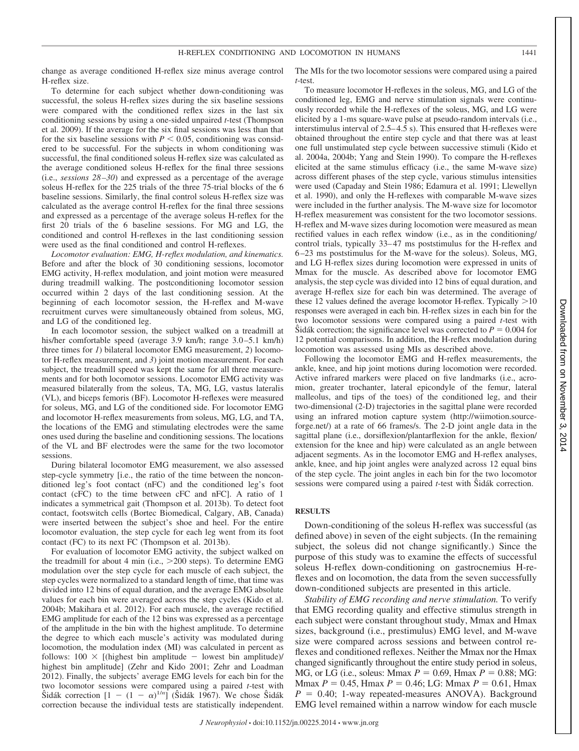change as average conditioned H-reflex size minus average control H-reflex size.

To determine for each subject whether down-conditioning was successful, the soleus H-reflex sizes during the six baseline sessions were compared with the conditioned reflex sizes in the last six conditioning sessions by using a one-sided unpaired *t*-test (Thompson et al. 2009). If the average for the six final sessions was less than that for the six baseline sessions with  $P \leq 0.05$ , conditioning was considered to be successful. For the subjects in whom conditioning was successful, the final conditioned soleus H-reflex size was calculated as the average conditioned soleus H-reflex for the final three sessions (i.e., *sessions 28 –30*) and expressed as a percentage of the average soleus H-reflex for the 225 trials of the three 75-trial blocks of the 6 baseline sessions. Similarly, the final control soleus H-reflex size was calculated as the average control H-reflex for the final three sessions and expressed as a percentage of the average soleus H-reflex for the first 20 trials of the 6 baseline sessions. For MG and LG, the conditioned and control H-reflexes in the last conditioning session were used as the final conditioned and control H-reflexes.

*Locomotor evaluation: EMG, H-reflex modulation, and kinematics.* Before and after the block of 30 conditioning sessions, locomotor EMG activity, H-reflex modulation, and joint motion were measured during treadmill walking. The postconditioning locomotor session occurred within 2 days of the last conditioning session. At the beginning of each locomotor session, the H-reflex and M-wave recruitment curves were simultaneously obtained from soleus, MG, and LG of the conditioned leg.

In each locomotor session, the subject walked on a treadmill at his/her comfortable speed (average 3.9 km/h; range 3.0 –5.1 km/h) three times for *1*) bilateral locomotor EMG measurement, *2*) locomotor H-reflex measurement, and *3*) joint motion measurement. For each subject, the treadmill speed was kept the same for all three measurements and for both locomotor sessions. Locomotor EMG activity was measured bilaterally from the soleus, TA, MG, LG, vastus lateralis (VL), and biceps femoris (BF). Locomotor H-reflexes were measured for soleus, MG, and LG of the conditioned side. For locomotor EMG and locomotor H-reflex measurements from soleus, MG, LG, and TA, the locations of the EMG and stimulating electrodes were the same ones used during the baseline and conditioning sessions. The locations of the VL and BF electrodes were the same for the two locomotor sessions.

During bilateral locomotor EMG measurement, we also assessed step-cycle symmetry [i.e., the ratio of the time between the nonconditioned leg's foot contact (nFC) and the conditioned leg's foot contact (cFC) to the time between cFC and nFC]. A ratio of 1 indicates a symmetrical gait (Thompson et al. 2013b). To detect foot contact, footswitch cells (Bortec Biomedical, Calgary, AB, Canada) were inserted between the subject's shoe and heel. For the entire locomotor evaluation, the step cycle for each leg went from its foot contact (FC) to its next FC (Thompson et al. 2013b).

For evaluation of locomotor EMG activity, the subject walked on the treadmill for about 4 min (i.e., 200 steps). To determine EMG modulation over the step cycle for each muscle of each subject, the step cycles were normalized to a standard length of time, that time was divided into 12 bins of equal duration, and the average EMG absolute values for each bin were averaged across the step cycles (Kido et al. 2004b; Makihara et al. 2012). For each muscle, the average rectified EMG amplitude for each of the 12 bins was expressed as a percentage of the amplitude in the bin with the highest amplitude. To determine the degree to which each muscle's activity was modulated during locomotion, the modulation index (MI) was calculated in percent as follows:  $100 \times$  [(highest bin amplitude  $-$  lowest bin amplitude)/ highest bin amplitude] (Zehr and Kido 2001; Zehr and Loadman 2012). Finally, the subjects' average EMG levels for each bin for the two locomotor sessions were compared using a paired *t*-test with  $\hat{\text{S}}$ idák correction  $[1 - (1 - \alpha)^{1/n}]$  ( $\hat{\text{S}}$ idák 1967). We chose  $\hat{\text{S}}$ idák correction because the individual tests are statistically independent.

The MIs for the two locomotor sessions were compared using a paired *t*-test.

To measure locomotor H-reflexes in the soleus, MG, and LG of the conditioned leg, EMG and nerve stimulation signals were continuously recorded while the H-reflexes of the soleus, MG, and LG were elicited by a 1-ms square-wave pulse at pseudo-random intervals (i.e., interstimulus interval of 2.5–4.5 s). This ensured that H-reflexes were obtained throughout the entire step cycle and that there was at least one full unstimulated step cycle between successive stimuli (Kido et al. 2004a, 2004b; Yang and Stein 1990). To compare the H-reflexes elicited at the same stimulus efficacy (i.e., the same M-wave size) across different phases of the step cycle, various stimulus intensities were used (Capaday and Stein 1986; Edamura et al. 1991; Llewellyn et al. 1990), and only the H-reflexes with comparable M-wave sizes were included in the further analysis. The M-wave size for locomotor H-reflex measurement was consistent for the two locomotor sessions. H-reflex and M-wave sizes during locomotion were measured as mean rectified values in each reflex window (i.e., as in the conditioning/ control trials, typically 33– 47 ms poststimulus for the H-reflex and 6 –23 ms poststimulus for the M-wave for the soleus). Soleus, MG, and LG H-reflex sizes during locomotion were expressed in units of Mmax for the muscle. As described above for locomotor EMG analysis, the step cycle was divided into 12 bins of equal duration, and average H-reflex size for each bin was determined. The average of these 12 values defined the average locomotor H-reflex. Typically  $>10$ responses were averaged in each bin. H-reflex sizes in each bin for the two locomotor sessions were compared using a paired *t*-test with Sidák correction; the significance level was corrected to  $P = 0.004$  for 12 potential comparisons. In addition, the H-reflex modulation during locomotion was assessed using MIs as described above.

Following the locomotor EMG and H-reflex measurements, the ankle, knee, and hip joint motions during locomotion were recorded. Active infrared markers were placed on five landmarks (i.e., acromion, greater trochanter, lateral epicondyle of the femur, lateral malleolus, and tips of the toes) of the conditioned leg, and their two-dimensional (2-D) trajectories in the sagittal plane were recorded using an infrared motion capture system [\(http://wiimotion.source](http://wiimotion.sourceforge.net/)[forge.net/\)](http://wiimotion.sourceforge.net/) at a rate of 66 frames/s. The 2-D joint angle data in the sagittal plane (i.e., dorsiflexion/plantarflexion for the ankle, flexion/ extension for the knee and hip) were calculated as an angle between adjacent segments. As in the locomotor EMG and H-reflex analyses, ankle, knee, and hip joint angles were analyzed across 12 equal bins of the step cycle. The joint angles in each bin for the two locomotor sessions were compared using a paired *t*-test with Sidák correction.

### **RESULTS**

Down-conditioning of the soleus H-reflex was successful (as defined above) in seven of the eight subjects. (In the remaining subject, the soleus did not change significantly.) Since the purpose of this study was to examine the effects of successful soleus H-reflex down-conditioning on gastrocnemius H-reflexes and on locomotion, the data from the seven successfully down-conditioned subjects are presented in this article.

*Stability of EMG recording and nerve stimulation.* To verify that EMG recording quality and effective stimulus strength in each subject were constant throughout study, Mmax and Hmax sizes, background (i.e., prestimulus) EMG level, and M-wave size were compared across sessions and between control reflexes and conditioned reflexes. Neither the Mmax nor the Hmax changed significantly throughout the entire study period in soleus, MG, or LG (i.e., soleus: Mmax  $P = 0.69$ , Hmax  $P = 0.88$ ; MG:  $M$ max  $P = 0.45$ , Hmax  $P = 0.46$ ; LG: Mmax  $P = 0.61$ , Hmax  $P = 0.40$ ; 1-way repeated-measures ANOVA). Background EMG level remained within a narrow window for each muscle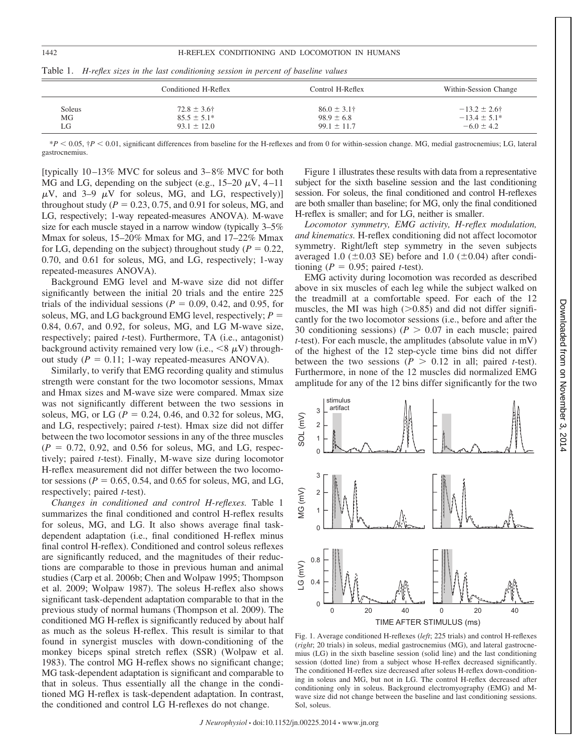|  | Table 1. H-reflex sizes in the last conditioning session in percent of baseline values |  |  |  |  |  |  |
|--|----------------------------------------------------------------------------------------|--|--|--|--|--|--|
|--|----------------------------------------------------------------------------------------|--|--|--|--|--|--|

|        | Conditioned H-Reflex | Control H-Reflex | Within-Session Change |
|--------|----------------------|------------------|-----------------------|
| Soleus | $72.8 \pm 3.6$ †     | $86.0 \pm 3.1$ † | $-13.2 \pm 2.6$ †     |
| MG     | $85.5 \pm 5.1*$      | $98.9 \pm 6.8$   | $-13.4 \pm 5.1*$      |
| LG     | $93.1 \pm 12.0$      | $99.1 \pm 11.7$  | $-6.0 \pm 4.2$        |

 $*P < 0.05$ ,  $\dagger P < 0.01$ , significant differences from baseline for the H-reflexes and from 0 for within-session change. MG, medial gastrocnemius; LG, lateral gastrocnemius.

[typically 10 –13% MVC for soleus and 3– 8% MVC for both MG and LG, depending on the subject (e.g.,  $15-20 \mu V$ ,  $4-11$  $\mu$ V, and 3–9  $\mu$ V for soleus, MG, and LG, respectively)] throughout study ( $P = 0.23$ , 0.75, and 0.91 for soleus, MG, and LG, respectively; 1-way repeated-measures ANOVA). M-wave size for each muscle stayed in a narrow window (typically 3–5% Mmax for soleus, 15–20% Mmax for MG, and 17–22% Mmax for LG, depending on the subject) throughout study ( $P = 0.22$ , 0.70, and 0.61 for soleus, MG, and LG, respectively; 1-way repeated-measures ANOVA).

Background EMG level and M-wave size did not differ significantly between the initial 20 trials and the entire 225 trials of the individual sessions ( $P = 0.09, 0.42,$  and 0.95, for soleus, MG, and LG background EMG level, respectively; *P* 0.84, 0.67, and 0.92, for soleus, MG, and LG M-wave size, respectively; paired *t*-test). Furthermore, TA (i.e., antagonist) background activity remained very low (i.e.,  $\leq 8 \mu V$ ) throughout study  $(P = 0.11; 1$ -way repeated-measures ANOVA).

Similarly, to verify that EMG recording quality and stimulus strength were constant for the two locomotor sessions, Mmax and Hmax sizes and M-wave size were compared. Mmax size was not significantly different between the two sessions in soleus, MG, or LG ( $P = 0.24$ , 0.46, and 0.32 for soleus, MG, and LG, respectively; paired *t*-test). Hmax size did not differ between the two locomotor sessions in any of the three muscles  $(P = 0.72, 0.92,$  and 0.56 for soleus, MG, and LG, respectively; paired *t*-test). Finally, M-wave size during locomotor H-reflex measurement did not differ between the two locomotor sessions ( $P = 0.65$ , 0.54, and 0.65 for soleus, MG, and LG, respectively; paired *t*-test).

*Changes in conditioned and control H-reflexes.* Table 1 summarizes the final conditioned and control H-reflex results for soleus, MG, and LG. It also shows average final taskdependent adaptation (i.e., final conditioned H-reflex minus final control H-reflex). Conditioned and control soleus reflexes are significantly reduced, and the magnitudes of their reductions are comparable to those in previous human and animal studies (Carp et al. 2006b; Chen and Wolpaw 1995; Thompson et al. 2009; Wolpaw 1987). The soleus H-reflex also shows significant task-dependent adaptation comparable to that in the previous study of normal humans (Thompson et al. 2009). The conditioned MG H-reflex is significantly reduced by about half as much as the soleus H-reflex. This result is similar to that found in synergist muscles with down-conditioning of the monkey biceps spinal stretch reflex (SSR) (Wolpaw et al. 1983). The control MG H-reflex shows no significant change; MG task-dependent adaptation is significant and comparable to that in soleus. Thus essentially all the change in the conditioned MG H-reflex is task-dependent adaptation. In contrast, the conditioned and control LG H-reflexes do not change.

Figure 1 illustrates these results with data from a representative subject for the sixth baseline session and the last conditioning session. For soleus, the final conditioned and control H-reflexes are both smaller than baseline; for MG, only the final conditioned H-reflex is smaller; and for LG, neither is smaller.

*Locomotor symmetry, EMG activity, H-reflex modulation, and kinematics.* H-reflex conditioning did not affect locomotor symmetry. Right/left step symmetry in the seven subjects averaged 1.0 ( $\pm$ 0.03 SE) before and 1.0 ( $\pm$ 0.04) after conditioning ( $P = 0.95$ ; paired *t*-test).

EMG activity during locomotion was recorded as described above in six muscles of each leg while the subject walked on the treadmill at a comfortable speed. For each of the 12 muscles, the MI was high  $(>0.85)$  and did not differ significantly for the two locomotor sessions (i.e., before and after the 30 conditioning sessions) ( $P > 0.07$  in each muscle; paired *t*-test). For each muscle, the amplitudes (absolute value in mV) of the highest of the 12 step-cycle time bins did not differ between the two sessions  $(P > 0.12$  in all; paired *t*-test). Furthermore, in none of the 12 muscles did normalized EMG amplitude for any of the 12 bins differ significantly for the two



Fig. 1. Average conditioned H-reflexes (*left*; 225 trials) and control H-reflexes (*right*; 20 trials) in soleus, medial gastrocnemius (MG), and lateral gastrocnemius (LG) in the sixth baseline session (solid line) and the last conditioning session (dotted line) from a subject whose H-reflex decreased significantly. The conditioned H-reflex size decreased after soleus H-reflex down-conditioning in soleus and MG, but not in LG. The control H-reflex decreased after conditioning only in soleus. Background electromyography (EMG) and Mwave size did not change between the baseline and last conditioning sessions. Sol, soleus.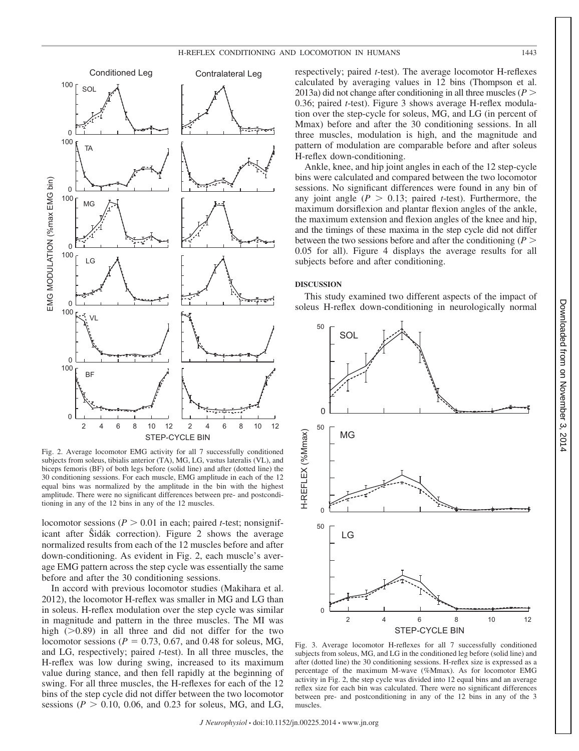

Fig. 2. Average locomotor EMG activity for all 7 successfully conditioned subjects from soleus, tibialis anterior (TA), MG, LG, vastus lateralis (VL), and biceps femoris (BF) of both legs before (solid line) and after (dotted line) the 30 conditioning sessions. For each muscle, EMG amplitude in each of the 12 equal bins was normalized by the amplitude in the bin with the highest amplitude. There were no significant differences between pre- and postconditioning in any of the 12 bins in any of the 12 muscles.

locomotor sessions ( $P > 0.01$  in each; paired *t*-test; nonsignificant after Ŝidák correction). Figure 2 shows the average normalized results from each of the 12 muscles before and after down-conditioning. As evident in Fig. 2, each muscle's average EMG pattern across the step cycle was essentially the same before and after the 30 conditioning sessions.

In accord with previous locomotor studies (Makihara et al. 2012), the locomotor H-reflex was smaller in MG and LG than in soleus. H-reflex modulation over the step cycle was similar in magnitude and pattern in the three muscles. The MI was high  $(0.89)$  in all three and did not differ for the two locomotor sessions ( $P = 0.73$ , 0.67, and 0.48 for soleus, MG, and LG, respectively; paired *t*-test). In all three muscles, the H-reflex was low during swing, increased to its maximum value during stance, and then fell rapidly at the beginning of swing. For all three muscles, the H-reflexes for each of the 12 bins of the step cycle did not differ between the two locomotor sessions ( $P > 0.10$ , 0.06, and 0.23 for soleus, MG, and LG,

respectively; paired *t*-test). The average locomotor H-reflexes calculated by averaging values in 12 bins (Thompson et al. 2013a) did not change after conditioning in all three muscles (*P* 0.36; paired *t*-test). Figure 3 shows average H-reflex modulation over the step-cycle for soleus, MG, and LG (in percent of Mmax) before and after the 30 conditioning sessions. In all three muscles, modulation is high, and the magnitude and pattern of modulation are comparable before and after soleus H-reflex down-conditioning.

Ankle, knee, and hip joint angles in each of the 12 step-cycle bins were calculated and compared between the two locomotor sessions. No significant differences were found in any bin of any joint angle  $(P > 0.13$ ; paired *t*-test). Furthermore, the maximum dorsiflexion and plantar flexion angles of the ankle, the maximum extension and flexion angles of the knee and hip, and the timings of these maxima in the step cycle did not differ between the two sessions before and after the conditioning  $(P >$ 0.05 for all). Figure 4 displays the average results for all subjects before and after conditioning.

## **DISCUSSION**

This study examined two different aspects of the impact of soleus H-reflex down-conditioning in neurologically normal



Fig. 3. Average locomotor H-reflexes for all 7 successfully conditioned subjects from soleus, MG, and LG in the conditioned leg before (solid line) and after (dotted line) the 30 conditioning sessions. H-reflex size is expressed as a percentage of the maximum M-wave (%Mmax). As for locomotor EMG activity in Fig. 2, the step cycle was divided into 12 equal bins and an average reflex size for each bin was calculated. There were no significant differences between pre- and postconditioning in any of the 12 bins in any of the 3 muscles.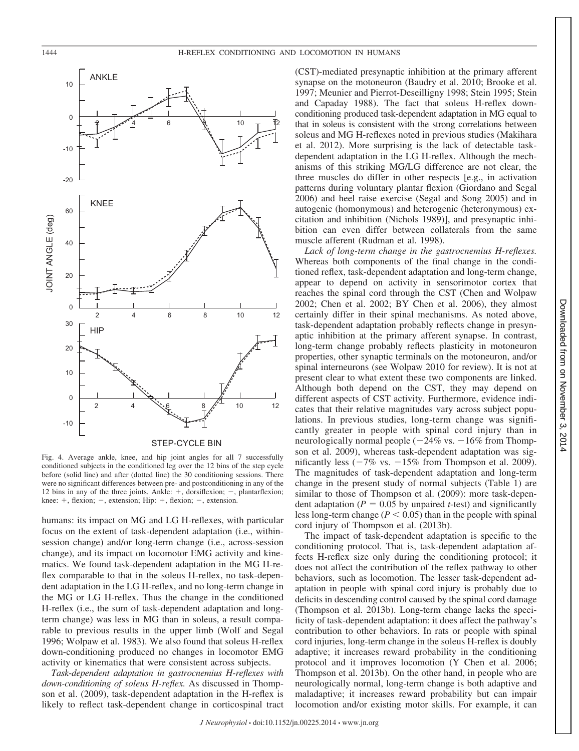

Fig. 4. Average ankle, knee, and hip joint angles for all 7 successfully conditioned subjects in the conditioned leg over the 12 bins of the step cycle before (solid line) and after (dotted line) the 30 conditioning sessions. There were no significant differences between pre- and postconditioning in any of the 12 bins in any of the three joints. Ankle:  $+$ , dorsiflexion;  $-$ , plantarflexion; knee:  $+$ , flexion;  $-$ , extension; Hip:  $+$ , flexion;  $-$ , extension.

humans: its impact on MG and LG H-reflexes, with particular focus on the extent of task-dependent adaptation (i.e., withinsession change) and/or long-term change (i.e., across-session change), and its impact on locomotor EMG activity and kinematics. We found task-dependent adaptation in the MG H-reflex comparable to that in the soleus H-reflex, no task-dependent adaptation in the LG H-reflex, and no long-term change in the MG or LG H-reflex. Thus the change in the conditioned H-reflex (i.e., the sum of task-dependent adaptation and longterm change) was less in MG than in soleus, a result comparable to previous results in the upper limb (Wolf and Segal 1996; Wolpaw et al. 1983). We also found that soleus H-reflex down-conditioning produced no changes in locomotor EMG activity or kinematics that were consistent across subjects.

*Task-dependent adaptation in gastrocnemius H-reflexes with down-conditioning of soleus H-reflex.* As discussed in Thompson et al. (2009), task-dependent adaptation in the H-reflex is likely to reflect task-dependent change in corticospinal tract (CST)-mediated presynaptic inhibition at the primary afferent synapse on the motoneuron (Baudry et al. 2010; Brooke et al. 1997; Meunier and Pierrot-Deseilligny 1998; Stein 1995; Stein and Capaday 1988). The fact that soleus H-reflex downconditioning produced task-dependent adaptation in MG equal to that in soleus is consistent with the strong correlations between soleus and MG H-reflexes noted in previous studies (Makihara et al. 2012). More surprising is the lack of detectable taskdependent adaptation in the LG H-reflex. Although the mechanisms of this striking MG/LG difference are not clear, the three muscles do differ in other respects [e.g., in activation patterns during voluntary plantar flexion (Giordano and Segal 2006) and heel raise exercise (Segal and Song 2005) and in autogenic (homonymous) and heterogenic (heteronymous) excitation and inhibition (Nichols 1989)], and presynaptic inhibition can even differ between collaterals from the same muscle afferent (Rudman et al. 1998).

*Lack of long-term change in the gastrocnemius H-reflexes.* Whereas both components of the final change in the conditioned reflex, task-dependent adaptation and long-term change, appear to depend on activity in sensorimotor cortex that reaches the spinal cord through the CST (Chen and Wolpaw 2002; Chen et al. 2002; BY Chen et al. 2006), they almost certainly differ in their spinal mechanisms. As noted above, task-dependent adaptation probably reflects change in presynaptic inhibition at the primary afferent synapse. In contrast, long-term change probably reflects plasticity in motoneuron properties, other synaptic terminals on the motoneuron, and/or spinal interneurons (see Wolpaw 2010 for review). It is not at present clear to what extent these two components are linked. Although both depend on the CST, they may depend on different aspects of CST activity. Furthermore, evidence indicates that their relative magnitudes vary across subject populations. In previous studies, long-term change was significantly greater in people with spinal cord injury than in neurologically normal people  $(-24\% \text{ vs. } -16\% \text{ from Thomp-}$ son et al. 2009), whereas task-dependent adaptation was significantly less  $(-7\% \text{ vs. } -15\% \text{ from Thompson et al. } 2009)$ . The magnitudes of task-dependent adaptation and long-term change in the present study of normal subjects (Table 1) are similar to those of Thompson et al. (2009): more task-dependent adaptation ( $P = 0.05$  by unpaired *t*-test) and significantly less long-term change  $(P < 0.05)$  than in the people with spinal cord injury of Thompson et al. (2013b).

The impact of task-dependent adaptation is specific to the conditioning protocol. That is, task-dependent adaptation affects H-reflex size only during the conditioning protocol; it does not affect the contribution of the reflex pathway to other behaviors, such as locomotion. The lesser task-dependent adaptation in people with spinal cord injury is probably due to deficits in descending control caused by the spinal cord damage (Thompson et al. 2013b). Long-term change lacks the specificity of task-dependent adaptation: it does affect the pathway's contribution to other behaviors. In rats or people with spinal cord injuries, long-term change in the soleus H-reflex is doubly adaptive; it increases reward probability in the conditioning protocol and it improves locomotion (Y Chen et al. 2006; Thompson et al. 2013b). On the other hand, in people who are neurologically normal, long-term change is both adaptive and maladaptive; it increases reward probability but can impair locomotion and/or existing motor skills. For example, it can

Downloaded from on November 3,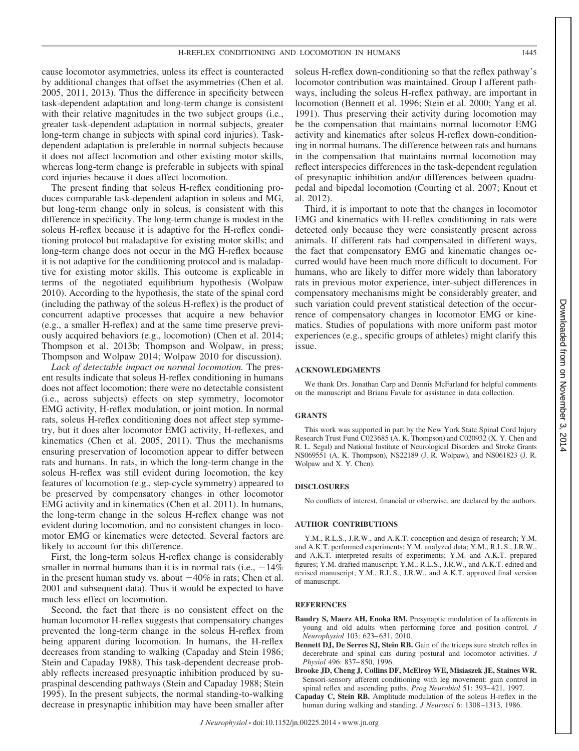cause locomotor asymmetries, unless its effect is counteracted by additional changes that offset the asymmetries (Chen et al. 2005, 2011, 2013). Thus the difference in specificity between task-dependent adaptation and long-term change is consistent with their relative magnitudes in the two subject groups (i.e., greater task-dependent adaptation in normal subjects, greater long-term change in subjects with spinal cord injuries). Taskdependent adaptation is preferable in normal subjects because it does not affect locomotion and other existing motor skills, whereas long-term change is preferable in subjects with spinal cord injuries because it does affect locomotion.

The present finding that soleus H-reflex conditioning produces comparable task-dependent adaption in soleus and MG, but long-term change only in soleus, is consistent with this difference in specificity. The long-term change is modest in the soleus H-reflex because it is adaptive for the H-reflex conditioning protocol but maladaptive for existing motor skills; and long-term change does not occur in the MG H-reflex because it is not adaptive for the conditioning protocol and is maladaptive for existing motor skills. This outcome is explicable in terms of the negotiated equilibrium hypothesis (Wolpaw 2010). According to the hypothesis, the state of the spinal cord (including the pathway of the soleus H-reflex) is the product of concurrent adaptive processes that acquire a new behavior (e.g., a smaller H-reflex) and at the same time preserve previously acquired behaviors (e.g., locomotion) (Chen et al. 2014; Thompson et al. 2013b; Thompson and Wolpaw, in press; Thompson and Wolpaw 2014; Wolpaw 2010 for discussion).

*Lack of detectable impact on normal locomotion.* The present results indicate that soleus H-reflex conditioning in humans does not affect locomotion; there were no detectable consistent (i.e., across subjects) effects on step symmetry, locomotor EMG activity, H-reflex modulation, or joint motion. In normal rats, soleus H-reflex conditioning does not affect step symmetry, but it does alter locomotor EMG activity, H-reflexes, and kinematics (Chen et al. 2005, 2011). Thus the mechanisms ensuring preservation of locomotion appear to differ between rats and humans. In rats, in which the long-term change in the soleus H-reflex was still evident during locomotion, the key features of locomotion (e.g., step-cycle symmetry) appeared to be preserved by compensatory changes in other locomotor EMG activity and in kinematics (Chen et al. 2011). In humans, the long-term change in the soleus H-reflex change was not evident during locomotion, and no consistent changes in locomotor EMG or kinematics were detected. Several factors are likely to account for this difference.

First, the long-term soleus H-reflex change is considerably smaller in normal humans than it is in normal rats (i.e.,  $-14\%$ ) in the present human study vs. about  $-40\%$  in rats; Chen et al. 2001 and subsequent data). Thus it would be expected to have much less effect on locomotion.

Second, the fact that there is no consistent effect on the human locomotor H-reflex suggests that compensatory changes prevented the long-term change in the soleus H-reflex from being apparent during locomotion. In humans, the H-reflex decreases from standing to walking (Capaday and Stein 1986; Stein and Capaday 1988). This task-dependent decrease probably reflects increased presynaptic inhibition produced by supraspinal descending pathways (Stein and Capaday 1988; Stein 1995). In the present subjects, the normal standing-to-walking decrease in presynaptic inhibition may have been smaller after

soleus H-reflex down-conditioning so that the reflex pathway's locomotor contribution was maintained. Group I afferent pathways, including the soleus H-reflex pathway, are important in locomotion (Bennett et al. 1996; Stein et al. 2000; Yang et al. 1991). Thus preserving their activity during locomotion may be the compensation that maintains normal locomotor EMG activity and kinematics after soleus H-reflex down-conditioning in normal humans. The difference between rats and humans in the compensation that maintains normal locomotion may reflect interspecies differences in the task-dependent regulation of presynaptic inhibition and/or differences between quadrupedal and bipedal locomotion (Courting et al. 2007; Knout et al. 2012).

Third, it is important to note that the changes in locomotor EMG and kinematics with H-reflex conditioning in rats were detected only because they were consistently present across animals. If different rats had compensated in different ways, the fact that compensatory EMG and kinematic changes occurred would have been much more difficult to document. For humans, who are likely to differ more widely than laboratory rats in previous motor experience, inter-subject differences in compensatory mechanisms might be considerably greater, and such variation could prevent statistical detection of the occurrence of compensatory changes in locomotor EMG or kinematics. Studies of populations with more uniform past motor experiences (e.g., specific groups of athletes) might clarify this issue.

#### **ACKNOWLEDGMENTS**

We thank Drs. Jonathan Carp and Dennis McFarland for helpful comments on the manuscript and Briana Favale for assistance in data collection.

#### **GRANTS**

This work was supported in part by the New York State Spinal Cord Injury Research Trust Fund C023685 (A. K. Thompson) and C020932 (X. Y. Chen and R. L. Segal) and National Institute of Neurological Disorders and Stroke Grants NS069551 (A. K. Thompson), NS22189 (J. R. Wolpaw), and NS061823 (J. R. Wolpaw and X. Y. Chen).

#### **DISCLOSURES**

No conflicts of interest, financial or otherwise, are declared by the authors.

#### **AUTHOR CONTRIBUTIONS**

Y.M., R.L.S., J.R.W., and A.K.T. conception and design of research; Y.M. and A.K.T. performed experiments; Y.M. analyzed data; Y.M., R.L.S., J.R.W., and A.K.T. interpreted results of experiments; Y.M. and A.K.T. prepared figures; Y.M. drafted manuscript; Y.M., R.L.S., J.R.W., and A.K.T. edited and revised manuscript; Y.M., R.L.S., J.R.W., and A.K.T. approved final version of manuscript.

### **REFERENCES**

- **Baudry S, Maerz AH, Enoka RM.** Presynaptic modulation of Ia afferents in young and old adults when performing force and position control. *J Neurophysiol* 103: 623– 631, 2010.
- **Bennett DJ, De Serres SJ, Stein RB.** Gain of the triceps sure stretch reflex in decerebrate and spinal cats during postural and locomotor activities. *J Physiol* 496: 837– 850, 1996.
- **Brooke JD, Cheng J, Collins DF, McElroy WE, Misiaszek JE, Staines WR.** Sensori-sensory afferent conditioning with leg movement: gain control in spinal reflex and ascending paths. *Prog Neurobiol* 51: 393-421, 1997.
- **Capaday C, Stein RB.** Amplitude modulation of the soleus H-reflex in the human during walking and standing. *J Neurosci* 6: 1308 –1313, 1986.